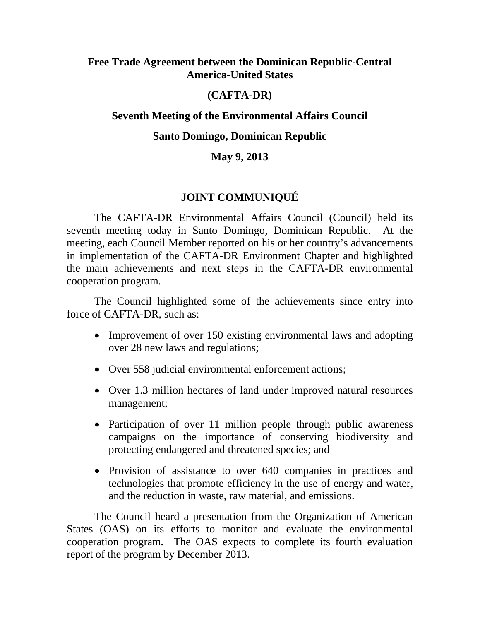#### **Free Trade Agreement between the Dominican Republic-Central America-United States**

# **(CAFTA-DR)**

# **Seventh Meeting of the Environmental Affairs Council**

### **Santo Domingo, Dominican Republic**

### **May 9, 2013**

# **JOINT COMMUNIQUÉ**

The CAFTA-DR Environmental Affairs Council (Council) held its seventh meeting today in Santo Domingo, Dominican Republic. At the meeting, each Council Member reported on his or her country's advancements in implementation of the CAFTA-DR Environment Chapter and highlighted the main achievements and next steps in the CAFTA-DR environmental cooperation program.

The Council highlighted some of the achievements since entry into force of CAFTA-DR, such as:

- Improvement of over 150 existing environmental laws and adopting over 28 new laws and regulations;
- Over 558 judicial environmental enforcement actions;
- Over 1.3 million hectares of land under improved natural resources management;
- Participation of over 11 million people through public awareness campaigns on the importance of conserving biodiversity and protecting endangered and threatened species; and
- Provision of assistance to over 640 companies in practices and technologies that promote efficiency in the use of energy and water, and the reduction in waste, raw material, and emissions.

The Council heard a presentation from the Organization of American States (OAS) on its efforts to monitor and evaluate the environmental cooperation program. The OAS expects to complete its fourth evaluation report of the program by December 2013.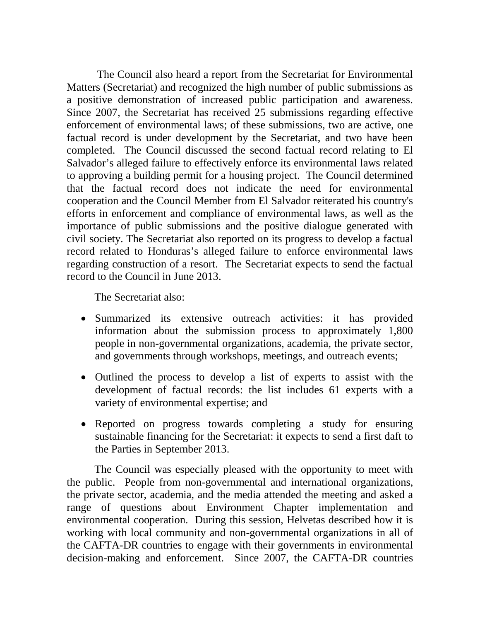The Council also heard a report from the Secretariat for Environmental Matters (Secretariat) and recognized the high number of public submissions as a positive demonstration of increased public participation and awareness. Since 2007, the Secretariat has received 25 submissions regarding effective enforcement of environmental laws; of these submissions, two are active, one factual record is under development by the Secretariat, and two have been completed. The Council discussed the second factual record relating to El Salvador's alleged failure to effectively enforce its environmental laws related to approving a building permit for a housing project. The Council determined that the factual record does not indicate the need for environmental cooperation and the Council Member from El Salvador reiterated his country's efforts in enforcement and compliance of environmental laws, as well as the importance of public submissions and the positive dialogue generated with civil society. The Secretariat also reported on its progress to develop a factual record related to Honduras's alleged failure to enforce environmental laws regarding construction of a resort. The Secretariat expects to send the factual record to the Council in June 2013.

The Secretariat also:

- Summarized its extensive outreach activities: it has provided information about the submission process to approximately 1,800 people in non-governmental organizations, academia, the private sector, and governments through workshops, meetings, and outreach events;
- Outlined the process to develop a list of experts to assist with the development of factual records: the list includes 61 experts with a variety of environmental expertise; and
- Reported on progress towards completing a study for ensuring sustainable financing for the Secretariat: it expects to send a first daft to the Parties in September 2013.

The Council was especially pleased with the opportunity to meet with the public. People from non-governmental and international organizations, the private sector, academia, and the media attended the meeting and asked a range of questions about Environment Chapter implementation and environmental cooperation. During this session, Helvetas described how it is working with local community and non-governmental organizations in all of the CAFTA-DR countries to engage with their governments in environmental decision-making and enforcement. Since 2007, the CAFTA-DR countries